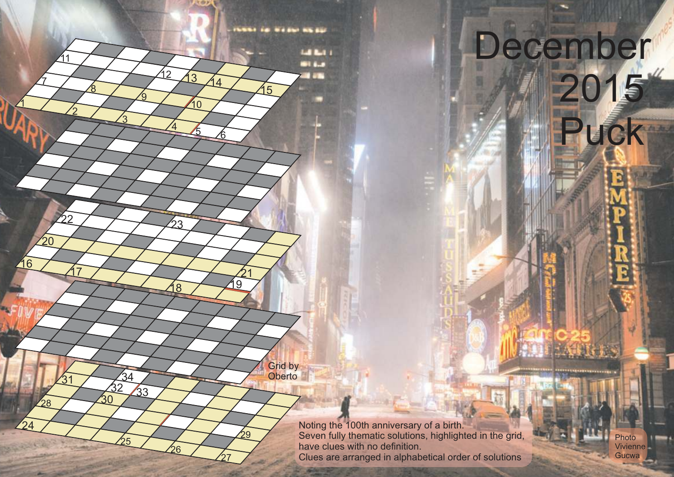Noting the 100th anniversary of a birth. Seven fully thematic solutions, highlighted in the grid, have clues with no definition. Clues are arranged in alphabetical order of solutions

Photo Vivienne Gucwa

December

Puck



**INSSET OF WEIGHT WEIGHT**